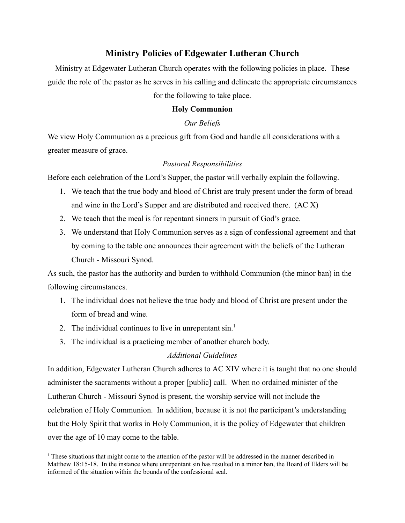# **Ministry Policies of Edgewater Lutheran Church**

Ministry at Edgewater Lutheran Church operates with the following policies in place. These guide the role of the pastor as he serves in his calling and delineate the appropriate circumstances for the following to take place.

### **Holy Communion**

#### *Our Beliefs*

We view Holy Communion as a precious gift from God and handle all considerations with a greater measure of grace.

#### *Pastoral Responsibilities*

Before each celebration of the Lord's Supper, the pastor will verbally explain the following.

- 1. We teach that the true body and blood of Christ are truly present under the form of bread and wine in the Lord's Supper and are distributed and received there. (AC X)
- 2. We teach that the meal is for repentant sinners in pursuit of God's grace.
- 3. We understand that Holy Communion serves as a sign of confessional agreement and that by coming to the table one announces their agreement with the beliefs of the Lutheran Church - Missouri Synod.

As such, the pastor has the authority and burden to withhold Communion (the minor ban) in the following circumstances.

- 1. The individual does not believe the true body and blood of Christ are present under the form of bread and wine.
- 2. The individual continues to live in unrepentant  $sin^{-1}$ .
- 3. The individual is a practicing member of another church body.

### *Additional Guidelines*

In addition, Edgewater Lutheran Church adheres to AC XIV where it is taught that no one should administer the sacraments without a proper [public] call. When no ordained minister of the Lutheran Church - Missouri Synod is present, the worship service will not include the celebration of Holy Communion. In addition, because it is not the participant's understanding but the Holy Spirit that works in Holy Communion, it is the policy of Edgewater that children over the age of 10 may come to the table.

<sup>&</sup>lt;sup>1</sup> These situations that might come to the attention of the pastor will be addressed in the manner described in Matthew 18:15-18. In the instance where unrepentant sin has resulted in a minor ban, the Board of Elders will be informed of the situation within the bounds of the confessional seal.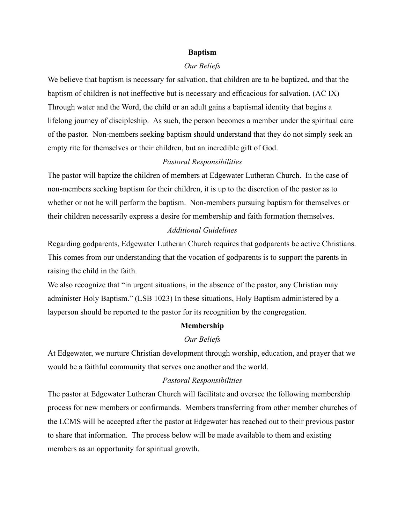#### **Baptism**

#### *Our Beliefs*

We believe that baptism is necessary for salvation, that children are to be baptized, and that the baptism of children is not ineffective but is necessary and efficacious for salvation. (AC IX) Through water and the Word, the child or an adult gains a baptismal identity that begins a lifelong journey of discipleship. As such, the person becomes a member under the spiritual care of the pastor. Non-members seeking baptism should understand that they do not simply seek an empty rite for themselves or their children, but an incredible gift of God.

#### *Pastoral Responsibilities*

The pastor will baptize the children of members at Edgewater Lutheran Church. In the case of non-members seeking baptism for their children, it is up to the discretion of the pastor as to whether or not he will perform the baptism. Non-members pursuing baptism for themselves or their children necessarily express a desire for membership and faith formation themselves.

## *Additional Guidelines*

Regarding godparents, Edgewater Lutheran Church requires that godparents be active Christians. This comes from our understanding that the vocation of godparents is to support the parents in raising the child in the faith.

We also recognize that "in urgent situations, in the absence of the pastor, any Christian may administer Holy Baptism." (LSB 1023) In these situations, Holy Baptism administered by a layperson should be reported to the pastor for its recognition by the congregation.

#### **Membership**

#### *Our Beliefs*

At Edgewater, we nurture Christian development through worship, education, and prayer that we would be a faithful community that serves one another and the world.

#### *Pastoral Responsibilities*

The pastor at Edgewater Lutheran Church will facilitate and oversee the following membership process for new members or confirmands. Members transferring from other member churches of the LCMS will be accepted after the pastor at Edgewater has reached out to their previous pastor to share that information. The process below will be made available to them and existing members as an opportunity for spiritual growth.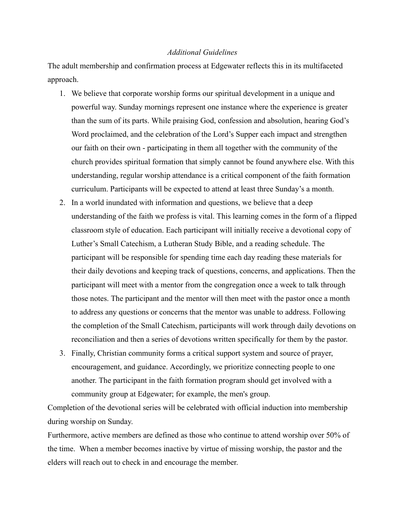#### *Additional Guidelines*

The adult membership and confirmation process at Edgewater reflects this in its multifaceted approach.

- 1. We believe that corporate worship forms our spiritual development in a unique and powerful way. Sunday mornings represent one instance where the experience is greater than the sum of its parts. While praising God, confession and absolution, hearing God's Word proclaimed, and the celebration of the Lord's Supper each impact and strengthen our faith on their own - participating in them all together with the community of the church provides spiritual formation that simply cannot be found anywhere else. With this understanding, regular worship attendance is a critical component of the faith formation curriculum. Participants will be expected to attend at least three Sunday's a month.
- 2. In a world inundated with information and questions, we believe that a deep understanding of the faith we profess is vital. This learning comes in the form of a flipped classroom style of education. Each participant will initially receive a devotional copy of Luther's Small Catechism, a Lutheran Study Bible, and a reading schedule. The participant will be responsible for spending time each day reading these materials for their daily devotions and keeping track of questions, concerns, and applications. Then the participant will meet with a mentor from the congregation once a week to talk through those notes. The participant and the mentor will then meet with the pastor once a month to address any questions or concerns that the mentor was unable to address. Following the completion of the Small Catechism, participants will work through daily devotions on reconciliation and then a series of devotions written specifically for them by the pastor.
- 3. Finally, Christian community forms a critical support system and source of prayer, encouragement, and guidance. Accordingly, we prioritize connecting people to one another. The participant in the faith formation program should get involved with a community group at Edgewater; for example, the men's group.

Completion of the devotional series will be celebrated with official induction into membership during worship on Sunday.

Furthermore, active members are defined as those who continue to attend worship over 50% of the time. When a member becomes inactive by virtue of missing worship, the pastor and the elders will reach out to check in and encourage the member.